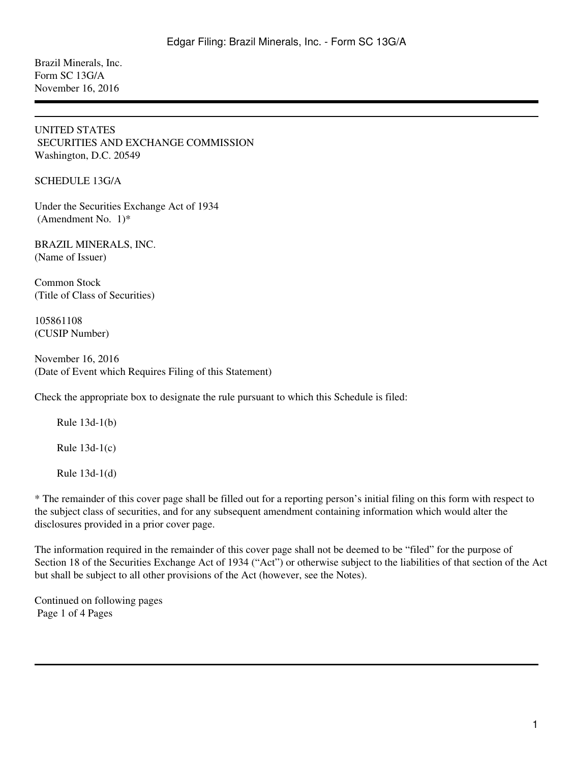Brazil Minerals, Inc. Form SC 13G/A November 16, 2016

#### UNITED STATES SECURITIES AND EXCHANGE COMMISSION Washington, D.C. 20549

SCHEDULE 13G/A

Under the Securities Exchange Act of 1934 (Amendment No.  $1$ <sup>\*</sup>

BRAZIL MINERALS, INC. (Name of Issuer)

Common Stock (Title of Class of Securities)

105861108 (CUSIP Number)

November 16, 2016 (Date of Event which Requires Filing of this Statement)

Check the appropriate box to designate the rule pursuant to which this Schedule is filed:

Rule  $13d-1(b)$ 

Rule  $13d-1(c)$ 

Rule  $13d-1(d)$ 

\* The remainder of this cover page shall be filled out for a reporting person's initial filing on this form with respect to the subject class of securities, and for any subsequent amendment containing information which would alter the disclosures provided in a prior cover page.

The information required in the remainder of this cover page shall not be deemed to be "filed" for the purpose of Section 18 of the Securities Exchange Act of 1934 ("Act") or otherwise subject to the liabilities of that section of the Act but shall be subject to all other provisions of the Act (however, see the Notes).

Continued on following pages Page 1 of 4 Pages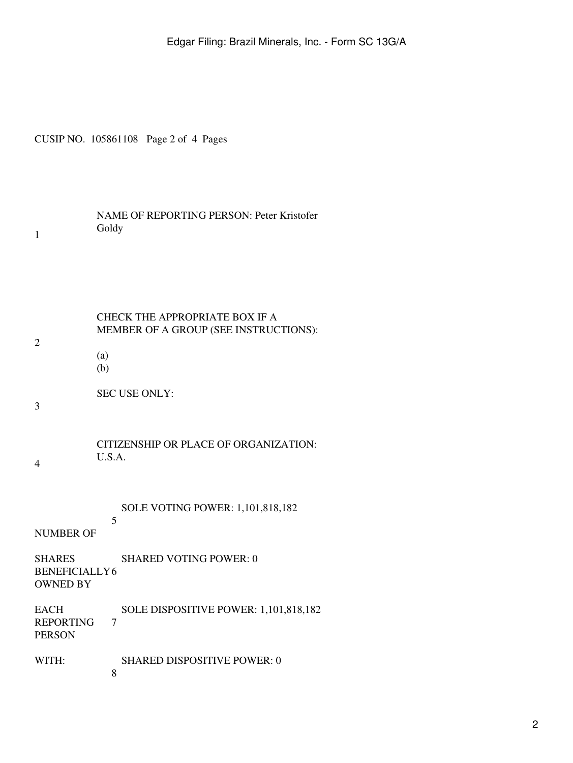Edgar Filing: Brazil Minerals, Inc. - Form SC 13G/A

CUSIP NO. 105861108 Page 2 of 4 Pages

| <b>NAME OF REPORTING PERSON: Peter Kristofer</b> |
|--------------------------------------------------|
| Goldy                                            |

| CHECK THE APPROPRIATE BOX IF A        |
|---------------------------------------|
| MEMBER OF A GROUP (SEE INSTRUCTIONS): |

- $(a)$ 
	- $(b)$

SEC USE ONLY:

3

4

2

1

CITIZENSHIP OR PLACE OF ORGANIZATION: U.S.A.

5

SOLE VOTING POWER: 1,101,818,182

## NUMBER OF

- SHARES 6 BENEFICIALLY SHARED VOTING POWER: 0 OWNED BY
- **EACH** 7 SOLE DISPOSITIVE POWER: 1,101,818,182 REPORTING PERSON
- WITH: SHARED DISPOSITIVE POWER: 0
	- 8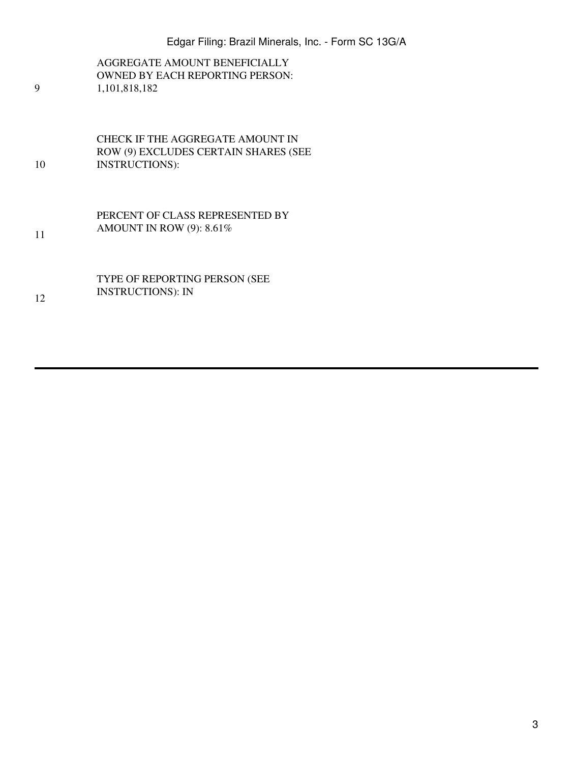AGGREGATE AMOUNT BENEFICIALLY OWNED BY EACH REPORTING PERSON: 1,101,818,182

10 CHECK IF THE AGGREGATE AMOUNT IN ROW (9) EXCLUDES CERTAIN SHARES (SEE INSTRUCTIONS):

9

11

12

PERCENT OF CLASS REPRESENTED BY AMOUNT IN ROW (9): 8.61%

TYPE OF REPORTING PERSON (SEE INSTRUCTIONS): IN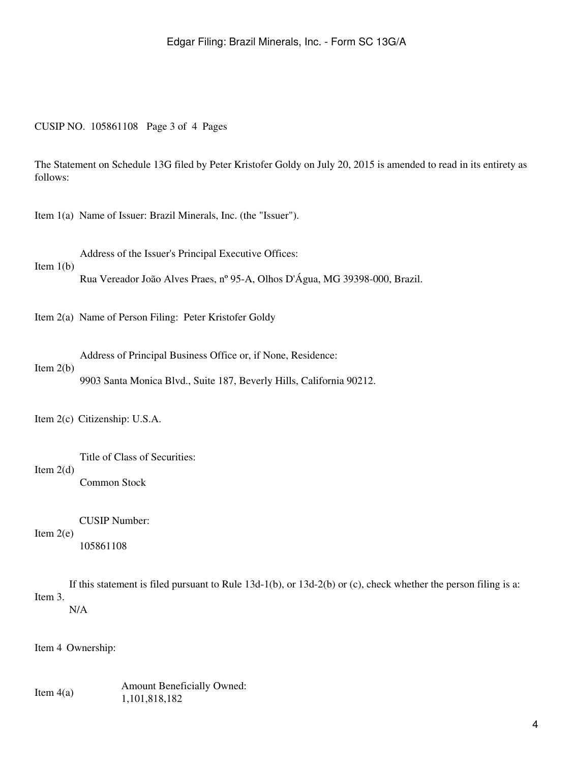#### CUSIP NO. 105861108 Page 3 of 4 Pages

The Statement on Schedule 13G filed by Peter Kristofer Goldy on July 20, 2015 is amended to read in its entirety as follows:

Item 1(a) Name of Issuer: Brazil Minerals, Inc. (the "Issuer").

Address of the Issuer's Principal Executive Offices:

Item  $1(b)$ 

Rua Vereador João Alves Praes, nº 95-A, Olhos D'Água, MG 39398-000, Brazil.

Item 2(a) Name of Person Filing: Peter Kristofer Goldy

Address of Principal Business Office or, if None, Residence:

### Item 2(b)

Item 2(d)

9903 Santa Monica Blvd., Suite 187, Beverly Hills, California 90212.

Item 2(c) Citizenship: U.S.A.

Title of Class of Securities: Common Stock

Item  $2(e)$ CUSIP Number: 105861108

Item 3. If this statement is filed pursuant to Rule 13d-1(b), or 13d-2(b) or (c), check whether the person filing is a:

N/A

Item 4 Ownership:

Item 4(a) Amount Beneficially Owned: 1,101,818,182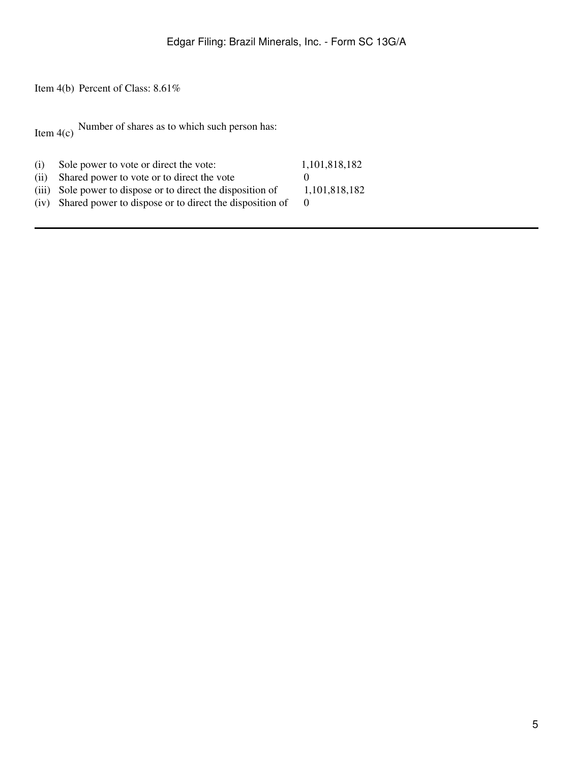Item 4(b) Percent of Class: 8.61%

Item  $4(c)$  Number of shares as to which such person has:

| (i)  | Sole power to vote or direct the vote:                       | 1,101,818,182 |
|------|--------------------------------------------------------------|---------------|
| (ii) | Shared power to vote or to direct the vote                   |               |
|      | (iii) Sole power to dispose or to direct the disposition of  | 1,101,818,182 |
|      | (iv) Shared power to dispose or to direct the disposition of |               |
|      |                                                              |               |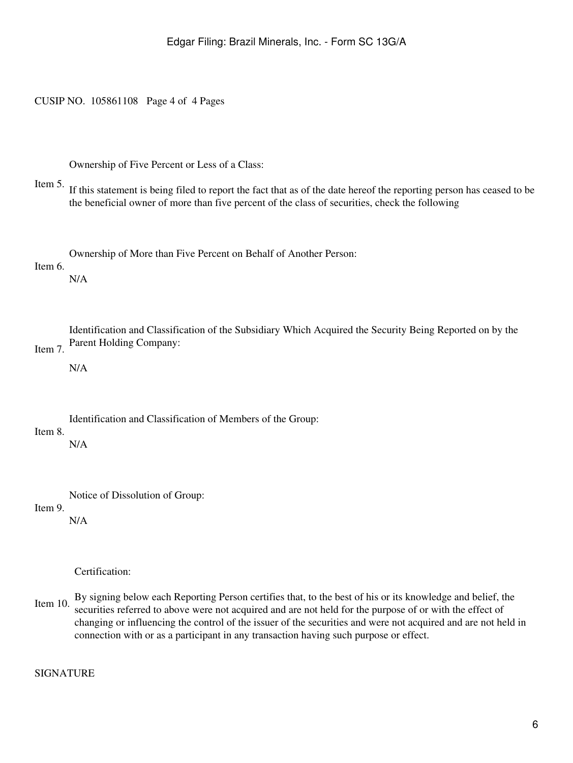CUSIP NO. 105861108 Page 4 of 4 Pages

Ownership of Five Percent or Less of a Class:

Item 5. If this statement is being filed to report the fact that as of the date hereof the reporting person has ceased to be the beneficial owner of more than five percent of the class of securities, check the following

Ownership of More than Five Percent on Behalf of Another Person:

Item 6.

N/A

Item 7. Identification and Classification of the Subsidiary Which Acquired the Security Being Reported on by the Parent Holding Company:

N/A

Identification and Classification of Members of the Group:

# Item 8.

N/A

Notice of Dissolution of Group:

Item 9.

N/A

Certification:

Item 10. By signing below each Reporting Person certifies that, to the best of his or its knowledge and belief, the securities referred to above were not acquired and are not held for the purpose of or with the effect of changing or influencing the control of the issuer of the securities and were not acquired and are not held in connection with or as a participant in any transaction having such purpose or effect.

SIGNATURE